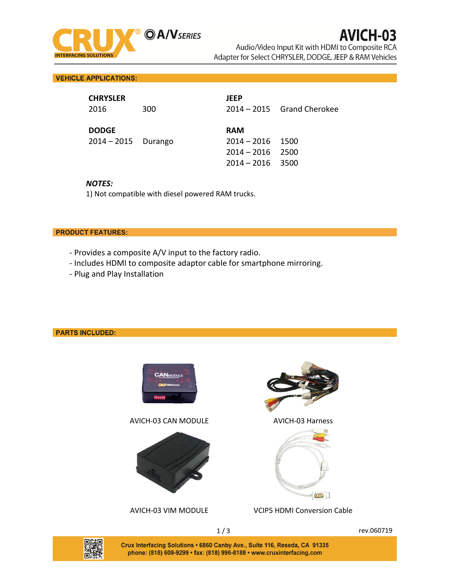

**VEHICLE APPLICATIONS:** 

| <b>CHRYSLER</b><br>2016               | 300 | <b>JEEP</b>                                                      | $2014 - 2015$ Grand Cherokee |
|---------------------------------------|-----|------------------------------------------------------------------|------------------------------|
| <b>DODGE</b><br>$2014 - 2015$ Durango |     | <b>RAM</b><br>2014 – 2016<br>$2014 - 2016$<br>$2014 - 2016$ 3500 | 1500<br>2500                 |

### *NOTES:*

1) Not compatible with diesel powered RAM trucks.

### **PRODUCT FEATURES:**

- Provides a composite A/V input to the factory radio.
- Includes HDMI to composite adaptor cable for smartphone mirroring.
- Plug and Play Installation

## **PARTS INCLUDED:**



AVICH-03 CAN MODULE AVICH-03 Harness







#### AVICH-03 VIM MODULE VCIP5 HDMI Conversion Cable



Crux Interfacing Solutions . 6860 Canby Ave., Suite 116, Reseda, CA 91335 phone: (818) 609-9299 · fax: (818) 996-8188 · www.cruxinterfacing.com

1/3 rev.060719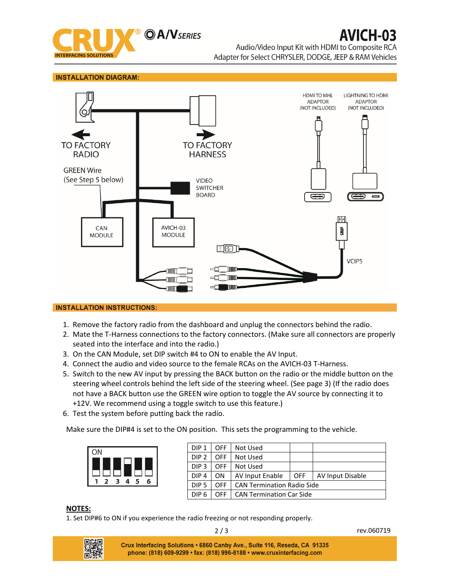

#### **INSTALLATION DIAGRAM:**



## **INSTALLATION INSTRUCTIONS:**

- 1. Remove the factory radio from the dashboard and unplug the connectors behind the radio.
- 2. Mate the T-Harness connections to the factory connectors. (Make sure all connectors are properly seated into the interface and into the radio.)
- 3. On the CAN Module, set DIP switch #4 to ON to enable the AV Input.
- 4. Connect the audio and video source to the female RCAs on the AVICH-03 T-Harness.
- 5. Switch to the new AV input by pressing the BACK button on the radio or the middle button on the steering wheel controls behind the left side of the steering wheel. (See page 3) (If the radio does not have a BACK button use the GREEN wire option to toggle the AV source by connecting it to +12V. We recommend using a toggle switch to use this feature.)
- 6. Test the system before putting back the radio.

Make sure the DIP#4 is set to the ON position. This sets the programming to the vehicle.



| DIP <sub>1</sub> | OFF | Not Used                          |            |                  |
|------------------|-----|-----------------------------------|------------|------------------|
| DIP <sub>2</sub> | OFF | Not Used                          |            |                  |
| DIP <sub>3</sub> | OFF | Not Used                          |            |                  |
| DIP <sub>4</sub> | ON  | AV Input Enable                   | <b>OFF</b> | AV Input Disable |
| DIP <sub>5</sub> | OFF | <b>CAN Termination Radio Side</b> |            |                  |
| DIP <sub>6</sub> | OFF | <b>CAN Termination Car Side</b>   |            |                  |

#### **NOTES:**

1. Set DIP#6 to ON if you experience the radio freezing or not responding properly.